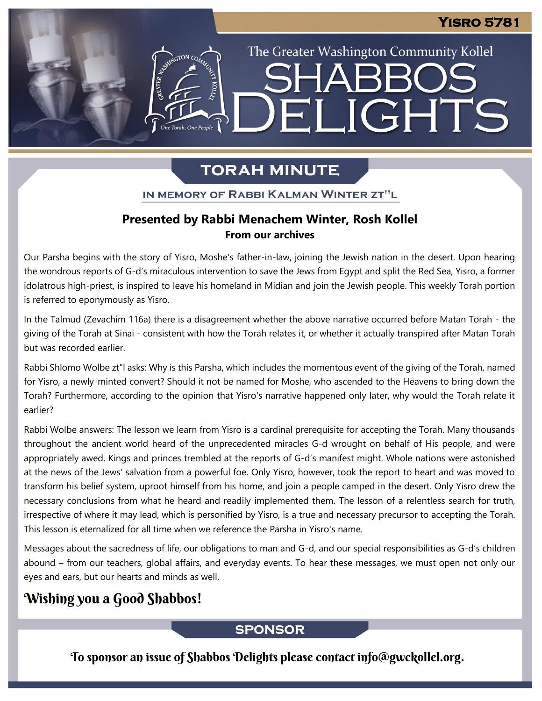# ELIGHTS **The Torah, One People**

The Greater Washington Community Kollel

# **TORAH MINUTE**

IN MEMORY OF RABBI KALMAN WINTER ZT"L

#### **Presented by Rabbi Menachem Winter, Rosh Kollel From our archives**

Our Parsha begins with the story of Yisro, Moshe's father-in-law, joining the Jewish nation in the desert. Upon hearing the wondrous reports of G-d's miraculous intervention to save the Jews from Egypt and split the Red Sea, Yisro, a former idolatrous high-priest, is inspired to leave his homeland in Midian and join the Jewish people. This weekly Torah portion is referred to eponymously as Yisro.

In the Talmud (Zevachim 116a) there is a disagreement whether the above narrative occurred before Matan Torah - the giving of the Torah at Sinai - consistent with how the Torah relates it, or whether it actually transpired after Matan Torah but was recorded earlier.

Rabbi Shlomo Wolbe zt"l asks: Why is this Parsha, which includes the momentous event of the giving of the Torah, named for Yisro, a newly-minted convert? Should it not be named for Moshe, who ascended to the Heavens to bring down the Torah? Furthermore, according to the opinion that Yisro's narrative happened only later, why would the Torah relate it earlier?

Rabbi Wolbe answers: The lesson we learn from Yisro is a cardinal prerequisite for accepting the Torah. Many thousands throughout the ancient world heard of the unprecedented miracles G-d wrought on behalf of His people, and were appropriately awed. Kings and princes trembled at the reports of G-d's manifest might. Whole nations were astonished at the news of the Jews' salvation from a powerful foe. Only Yisro, however, took the report to heart and was moved to transform his belief system, uproot himself from his home, and join a people camped in the desert. Only Yisro drew the necessary conclusions from what he heard and readily implemented them. The lesson of a relentless search for truth, irrespective of where it may lead, which is personified by Yisro, is a true and necessary precursor to accepting the Torah. This lesson is eternalized for all time when we reference the Parsha in Yisro's name.

Messages about the sacredness of life, our obligations to man and G-d, and our special responsibilities as G-d's children abound – from our teachers, global affairs, and everyday events. To hear these messages, we must open not only our eyes and ears, but our hearts and minds as well.

# Wishing you a Good Shabbos!

#### **SPONSOR**

To sponsor an issue of Shabbos Delights please contact info@gwckollel.org.